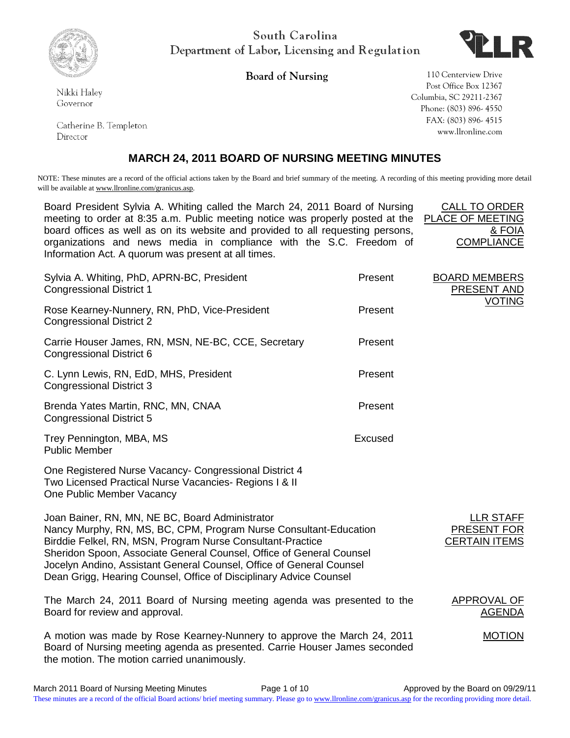

South Carolina Department of Labor, Licensing and Regulation



Nikki Haley Governor

Catherine B. Templeton Director

**Board of Nursing 110 Centerview Drive** Post Office Box 12367 Columbia, SC 29211-2367 Phone: (803) 896- 4550 FAX: (803) 896- 4515 www.llronline.com

# **MARCH 24, 2011 BOARD OF NURSING MEETING MINUTES**

NOTE: These minutes are a record of the official actions taken by the Board and brief summary of the meeting. A recording of this meeting providing more detail will be available at www.llronline.com/granicus.asp.

Board President Sylvia A. Whiting called the March 24, 2011 Board of Nursing meeting to order at 8:35 a.m. Public meeting notice was properly posted at the  $F$ board offices as well as on its website and provided to all requesting persons, organizations and news media in compliance with the S.C. Freedom of Information Act. A quorum was present at all times.

| CALL TO ORDER     |
|-------------------|
| PLACE OF MEETING  |
| & FOIA            |
| <b>COMPLIANCE</b> |

| Sylvia A. Whiting, PhD, APRN-BC, President<br><b>Congressional District 1</b>                                                                                                                                                                                                                                                                                                                            | Present        | <b>BOARD MEMBERS</b><br><b>PRESENT AND</b>              |
|----------------------------------------------------------------------------------------------------------------------------------------------------------------------------------------------------------------------------------------------------------------------------------------------------------------------------------------------------------------------------------------------------------|----------------|---------------------------------------------------------|
| Rose Kearney-Nunnery, RN, PhD, Vice-President<br><b>Congressional District 2</b>                                                                                                                                                                                                                                                                                                                         | Present        | <b>VOTING</b>                                           |
| Carrie Houser James, RN, MSN, NE-BC, CCE, Secretary<br><b>Congressional District 6</b>                                                                                                                                                                                                                                                                                                                   | Present        |                                                         |
| C. Lynn Lewis, RN, EdD, MHS, President<br><b>Congressional District 3</b>                                                                                                                                                                                                                                                                                                                                | Present        |                                                         |
| Brenda Yates Martin, RNC, MN, CNAA<br><b>Congressional District 5</b>                                                                                                                                                                                                                                                                                                                                    | Present        |                                                         |
| Trey Pennington, MBA, MS<br><b>Public Member</b>                                                                                                                                                                                                                                                                                                                                                         | <b>Excused</b> |                                                         |
| One Registered Nurse Vacancy- Congressional District 4<br>Two Licensed Practical Nurse Vacancies- Regions I & II<br>One Public Member Vacancy                                                                                                                                                                                                                                                            |                |                                                         |
| Joan Bainer, RN, MN, NE BC, Board Administrator<br>Nancy Murphy, RN, MS, BC, CPM, Program Nurse Consultant-Education<br>Birddie Felkel, RN, MSN, Program Nurse Consultant-Practice<br>Sheridon Spoon, Associate General Counsel, Office of General Counsel<br>Jocelyn Andino, Assistant General Counsel, Office of General Counsel<br>Dean Grigg, Hearing Counsel, Office of Disciplinary Advice Counsel |                | <b>LLR STAFF</b><br>PRESENT FOR<br><b>CERTAIN ITEMS</b> |
| The March 24, 2011 Board of Nursing meeting agenda was presented to the<br>Board for review and approval.                                                                                                                                                                                                                                                                                                |                | APPROVAL OF<br><b>AGENDA</b>                            |
| A motion was made by Rose Kearney-Nunnery to approve the March 24, 2011                                                                                                                                                                                                                                                                                                                                  |                | <b>MOTION</b>                                           |

was made by Rose Reamey-Nunnery to approve the March 24, 2011 Board of Nursing meeting agenda as presented. Carrie Houser James seconded the motion. The motion carried unanimously.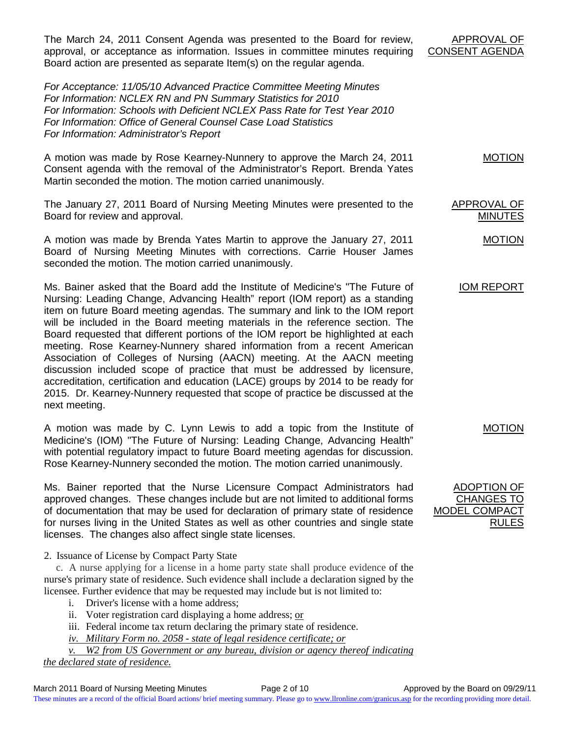March 2011 Board of Nursing Meeting Minutes Page 2 of 10 Approved by the Board on 09/29/11 These minutes are a record of the official Board actions/ brief meeting summary. Please go to [www.llronline.com/granicus.asp](http://www.llronline.com/granicus.asp) for the recording providing more detail.

The March 24, 2011 Consent Agenda was presented to the Board for review, approval, or acceptance as information. Issues in committee minutes requiring Board action are presented as separate Item(s) on the regular agenda.

*For Acceptance: 11/05/10 Advanced Practice Committee Meeting Minutes For Information: NCLEX RN and PN Summary Statistics for 2010 For Information: Schools with Deficient NCLEX Pass Rate for Test Year 2010 For Information: Office of General Counsel Case Load Statistics For Information: Administrator's Report*

A motion was made by Rose Kearney-Nunnery to approve the March 24, 2011 Consent agenda with the removal of the Administrator's Report. Brenda Yates Martin seconded the motion. The motion carried unanimously.

The January 27, 2011 Board of Nursing Meeting Minutes were presented to the Board for review and approval.

A motion was made by Brenda Yates Martin to approve the January 27, 2011 Board of Nursing Meeting Minutes with corrections. Carrie Houser James seconded the motion. The motion carried unanimously.

Ms. Bainer asked that the Board add the Institute of Medicine's "The Future of Nursing: Leading Change, Advancing Health" report (IOM report) as a standing item on future Board meeting agendas. The summary and link to the IOM report will be included in the Board meeting materials in the reference section. The Board requested that different portions of the IOM report be highlighted at each meeting. Rose Kearney-Nunnery shared information from a recent American Association of Colleges of Nursing (AACN) meeting. At the AACN meeting discussion included scope of practice that must be addressed by licensure, accreditation, certification and education (LACE) groups by 2014 to be ready for 2015. Dr. Kearney-Nunnery requested that scope of practice be discussed at the next meeting.

A motion was made by C. Lynn Lewis to add a topic from the Institute of Medicine's (IOM) "The Future of Nursing: Leading Change, Advancing Health" with potential regulatory impact to future Board meeting agendas for discussion. Rose Kearney-Nunnery seconded the motion. The motion carried unanimously.

Ms. Bainer reported that the Nurse Licensure Compact Administrators had approved changes. These changes include but are not limited to additional forms of documentation that may be used for declaration of primary state of residence for nurses living in the United States as well as other countries and single state licenses. The changes also affect single state licenses.

2. Issuance of License by Compact Party State

c. A nurse applying for a license in a home party state shall produce evidence of the nurse's primary state of residence. Such evidence shall include a declaration signed by the licensee. Further evidence that may be requested may include but is not limited to:

- i. Driver's license with a home address;
- ii. Voter registration card displaying a home address; or
- iii. Federal income tax return declaring the primary state of residence.

*iv. Military Form no. 2058 - state of legal residence certificate; or*

*v. W2 from US Government or any bureau, division or agency thereof indicating the declared state of residence.*

APPROVAL OF CONSENT AGENDA

MOTION

APPROVAL OF MINUTES

MOTION

IOM REPORT

MOTION

ADOPTION OF CHANGES TO MODEL COMPA <u>RULES</u>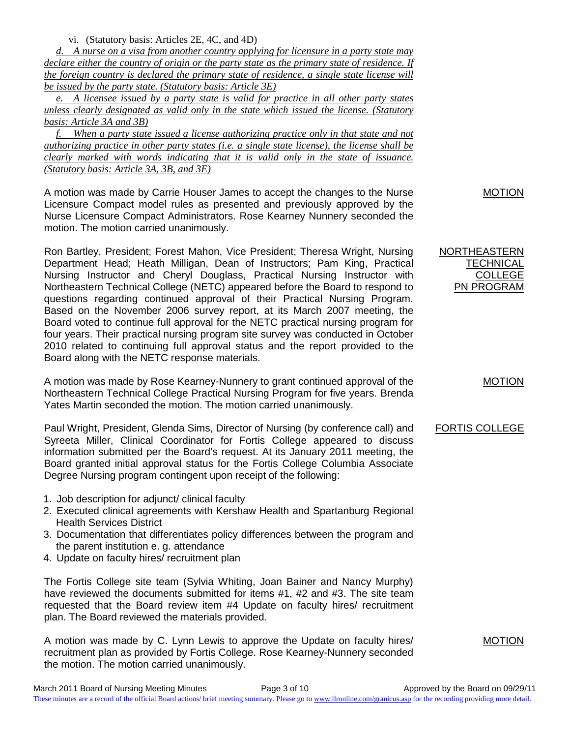vi. (Statutory basis: Articles 2E, 4C, and 4D)

*d. A nurse on a visa from another country applying for licensure in a party state may declare either the country of origin or the party state as the primary state of residence. If the foreign country is declared the primary state of residence, a single state license will be issued by the party state. (Statutory basis: Article 3E)*

*e. A licensee issued by a party state is valid for practice in all other party states unless clearly designated as valid only in the state which issued the license. (Statutory basis: Article 3A and 3B)*

*f. When a party state issued a license authorizing practice only in that state and not authorizing practice in other party states (i.e. a single state license), the license shall be clearly marked with words indicating that it is valid only in the state of issuance. (Statutory basis: Article 3A, 3B, and 3E)*

A motion was made by Carrie Houser James to accept the changes to the Nurse Licensure Compact model rules as presented and previously approved by the Nurse Licensure Compact Administrators. Rose Kearney Nunnery seconded the motion. The motion carried unanimously.

Ron Bartley, President; Forest Mahon, Vice President; Theresa Wright, Nursing Department Head; Heath Milligan, Dean of Instructors; Pam King, Practical Nursing Instructor and Cheryl Douglass, Practical Nursing Instructor with Northeastern Technical College (NETC) appeared before the Board to respond to questions regarding continued approval of their Practical Nursing Program. Based on the November 2006 survey report, at its March 2007 meeting, the Board voted to continue full approval for the NETC practical nursing program for four years. Their practical nursing program site survey was conducted in October 2010 related to continuing full approval status and the report provided to the Board along with the NETC response materials.

A motion was made by Rose Kearney-Nunnery to grant continued approval of the Northeastern Technical College Practical Nursing Program for five years. Brenda Yates Martin seconded the motion. The motion carried unanimously.

Paul Wright, President, Glenda Sims, Director of Nursing (by conference call) and Syreeta Miller, Clinical Coordinator for Fortis College appeared to discuss information submitted per the Board's request. At its January 2011 meeting, the Board granted initial approval status for the Fortis College Columbia Associate Degree Nursing program contingent upon receipt of the following:

- 1. Job description for adjunct/ clinical faculty
- 2. Executed clinical agreements with Kershaw Health and Spartanburg Regional Health Services District
- 3. Documentation that differentiates policy differences between the program and the parent institution e. g. attendance
- 4. Update on faculty hires/ recruitment plan

The Fortis College site team (Sylvia Whiting, Joan Bainer and Nancy Murphy) have reviewed the documents submitted for items #1, #2 and #3. The site team requested that the Board review item #4 Update on faculty hires/ recruitment plan. The Board reviewed the materials provided.

A motion was made by C. Lynn Lewis to approve the Update on faculty hires/ recruitment plan as provided by Fortis College. Rose Kearney-Nunnery seconded the motion. The motion carried unanimously.

MOTION

NORTHEASTERN **TECHNICAL** COLLEGE PN PROGRAM

MOTION

## FORTIS COLLEGE

**MOTION**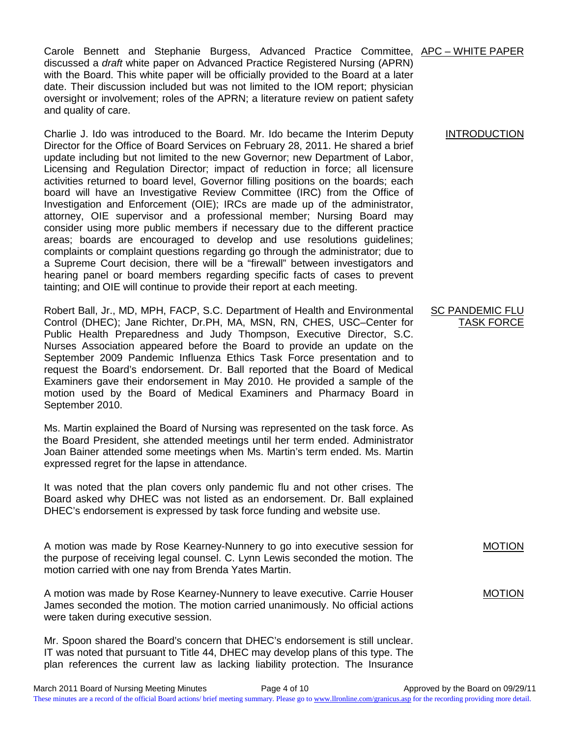Carole Bennett and Stephanie Burgess, Advanced Practice Committee, APC – WHITE PAPER discussed a *draft* white paper on Advanced Practice Registered Nursing (APRN) with the Board. This white paper will be officially provided to the Board at a later date. Their discussion included but was not limited to the IOM report; physician oversight or involvement; roles of the APRN; a literature review on patient safety and quality of care.

Charlie J. Ido was introduced to the Board. Mr. Ido became the Interim Deputy Director for the Office of Board Services on February 28, 2011. He shared a brief update including but not limited to the new Governor; new Department of Labor, Licensing and Regulation Director; impact of reduction in force; all licensure activities returned to board level, Governor filling positions on the boards; each board will have an Investigative Review Committee (IRC) from the Office of Investigation and Enforcement (OIE); IRCs are made up of the administrator, attorney, OIE supervisor and a professional member; Nursing Board may consider using more public members if necessary due to the different practice areas; boards are encouraged to develop and use resolutions guidelines; complaints or complaint questions regarding go through the administrator; due to a Supreme Court decision, there will be a "firewall" between investigators and hearing panel or board members regarding specific facts of cases to prevent tainting; and OIE will continue to provide their report at each meeting.

Robert Ball, Jr., MD, MPH, FACP, S.C. Department of Health and Environmental Control (DHEC); Jane Richter, Dr.PH, MA, MSN, RN, CHES, USC–Center for Public Health Preparedness and Judy Thompson, Executive Director, S.C. Nurses Association appeared before the Board to provide an update on the September 2009 Pandemic Influenza Ethics Task Force presentation and to request the Board's endorsement. Dr. Ball reported that the Board of Medical Examiners gave their endorsement in May 2010. He provided a sample of the motion used by the Board of Medical Examiners and Pharmacy Board in September 2010.

Ms. Martin explained the Board of Nursing was represented on the task force. As the Board President, she attended meetings until her term ended. Administrator Joan Bainer attended some meetings when Ms. Martin's term ended. Ms. Martin expressed regret for the lapse in attendance.

It was noted that the plan covers only pandemic flu and not other crises. The Board asked why DHEC was not listed as an endorsement. Dr. Ball explained DHEC's endorsement is expressed by task force funding and website use.

A motion was made by Rose Kearney-Nunnery to go into executive session for the purpose of receiving legal counsel. C. Lynn Lewis seconded the motion. The motion carried with one nay from Brenda Yates Martin.

A motion was made by Rose Kearney-Nunnery to leave executive. Carrie Houser James seconded the motion. The motion carried unanimously. No official actions were taken during executive session.

Mr. Spoon shared the Board's concern that DHEC's endorsement is still unclear. IT was noted that pursuant to Title 44, DHEC may develop plans of this type. The plan references the current law as lacking liability protection. The Insurance

#### INTRODUCTION

#### SC PANDEMIC FLU TASK FORCE

MOTION

## MOTION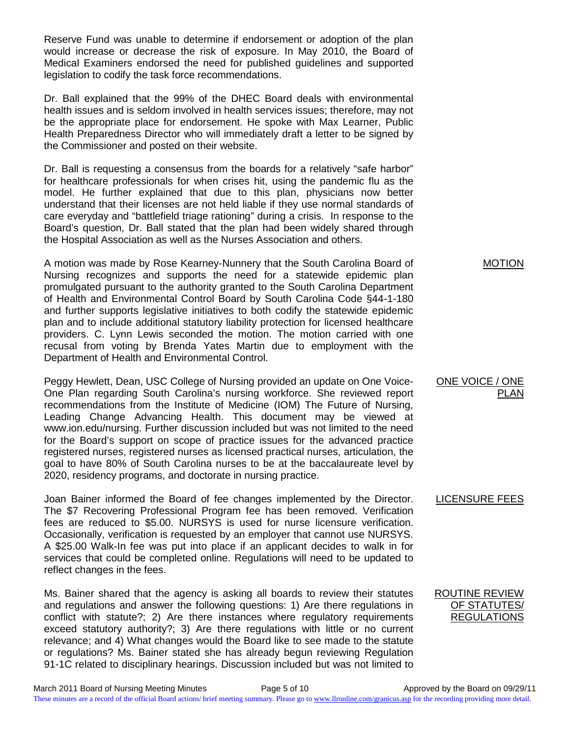Reserve Fund was unable to determine if endorsement or adoption of the plan would increase or decrease the risk of exposure. In May 2010, the Board of Medical Examiners endorsed the need for published guidelines and supported legislation to codify the task force recommendations.

Dr. Ball explained that the 99% of the DHEC Board deals with environmental health issues and is seldom involved in health services issues; therefore, may not be the appropriate place for endorsement. He spoke with Max Learner, Public Health Preparedness Director who will immediately draft a letter to be signed by the Commissioner and posted on their website.

Dr. Ball is requesting a consensus from the boards for a relatively "safe harbor" for healthcare professionals for when crises hit, using the pandemic flu as the model. He further explained that due to this plan, physicians now better understand that their licenses are not held liable if they use normal standards of care everyday and "battlefield triage rationing" during a crisis. In response to the Board's question, Dr. Ball stated that the plan had been widely shared through the Hospital Association as well as the Nurses Association and others.

A motion was made by Rose Kearney-Nunnery that the South Carolina Board of Nursing recognizes and supports the need for a statewide epidemic plan promulgated pursuant to the authority granted to the South Carolina Department of Health and Environmental Control Board by South Carolina Code §44-1-180 and further supports legislative initiatives to both codify the statewide epidemic plan and to include additional statutory liability protection for licensed healthcare providers. C. Lynn Lewis seconded the motion. The motion carried with one recusal from voting by Brenda Yates Martin due to employment with the Department of Health and Environmental Control.

Peggy Hewlett, Dean, USC College of Nursing provided an update on One Voice-One Plan regarding South Carolina's nursing workforce. She reviewed report recommendations from the Institute of Medicine (IOM) The Future of Nursing, Leading Change Advancing Health. This document may be viewed at www.ion.edu/nursing. Further discussion included but was not limited to the need for the Board's support on scope of practice issues for the advanced practice registered nurses, registered nurses as licensed practical nurses, articulation, the goal to have 80% of South Carolina nurses to be at the baccalaureate level by 2020, residency programs, and doctorate in nursing practice.

Joan Bainer informed the Board of fee changes implemented by the Director. The \$7 Recovering Professional Program fee has been removed. Verification fees are reduced to \$5.00. NURSYS is used for nurse licensure verification. Occasionally, verification is requested by an employer that cannot use NURSYS. A \$25.00 Walk-In fee was put into place if an applicant decides to walk in for services that could be completed online. Regulations will need to be updated to reflect changes in the fees.

Ms. Bainer shared that the agency is asking all boards to review their statutes and regulations and answer the following questions: 1) Are there regulations in conflict with statute?; 2) Are there instances where regulatory requirements exceed statutory authority?; 3) Are there regulations with little or no current relevance; and 4) What changes would the Board like to see made to the statute or regulations? Ms. Bainer stated she has already begun reviewing Regulation 91-1C related to disciplinary hearings. Discussion included but was not limited to

MOTION

### ONE VOICE / ONE PLAN

LICENSURE FEES

ROUTINE REVIEW OF STATUTES/ REGULATIONS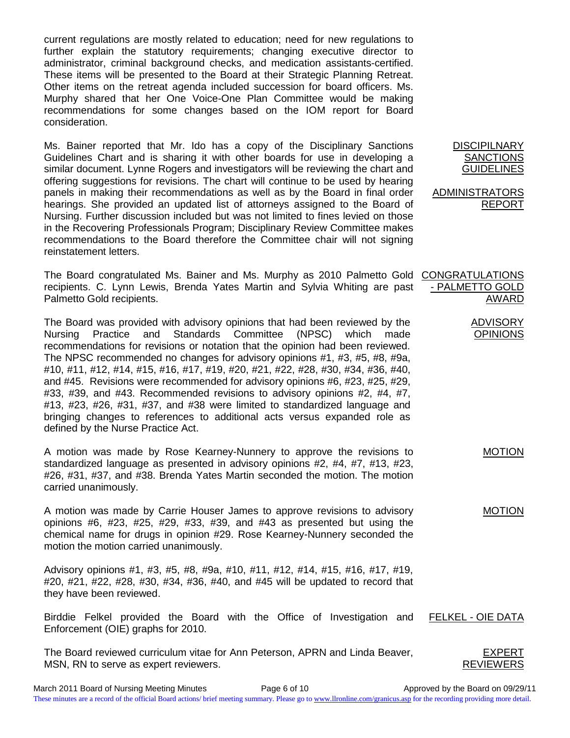current regulations are mostly related to education; need for new regulations to further explain the statutory requirements; changing executive director to administrator, criminal background checks, and medication assistants-certified. These items will be presented to the Board at their Strategic Planning Retreat. Other items on the retreat agenda included succession for board officers. Ms. Murphy shared that her One Voice-One Plan Committee would be making recommendations for some changes based on the IOM report for Board consideration.

Ms. Bainer reported that Mr. Ido has a copy of the Disciplinary Sanctions Guidelines Chart and is sharing it with other boards for use in developing a similar document. Lynne Rogers and investigators will be reviewing the chart and offering suggestions for revisions. The chart will continue to be used by hearing panels in making their recommendations as well as by the Board in final order hearings. She provided an updated list of attorneys assigned to the Board of Nursing. Further discussion included but was not limited to fines levied on those in the Recovering Professionals Program; Disciplinary Review Committee makes recommendations to the Board therefore the Committee chair will not signing reinstatement letters.

The Board congratulated Ms. Bainer and Ms. Murphy as 2010 Palmetto Gold CONGRATULATIONS recipients. C. Lynn Lewis, Brenda Yates Martin and Sylvia Whiting are past Palmetto Gold recipients.

The Board was provided with advisory opinions that had been reviewed by the Nursing Practice and Standards Committee (NPSC) which made recommendations for revisions or notation that the opinion had been reviewed. The NPSC recommended no changes for advisory opinions #1, #3, #5, #8, #9a, #10, #11, #12, #14, #15, #16, #17, #19, #20, #21, #22, #28, #30, #34, #36, #40, and #45. Revisions were recommended for advisory opinions #6, #23, #25, #29, #33, #39, and #43. Recommended revisions to advisory opinions #2, #4, #7, #13, #23, #26, #31, #37, and #38 were limited to standardized language and bringing changes to references to additional acts versus expanded role as defined by the Nurse Practice Act.

A motion was made by Rose Kearney-Nunnery to approve the revisions to standardized language as presented in advisory opinions #2, #4, #7, #13, #23, #26, #31, #37, and #38. Brenda Yates Martin seconded the motion. The motion carried unanimously.

A motion was made by Carrie Houser James to approve revisions to advisory opinions #6, #23, #25, #29, #33, #39, and #43 as presented but using the chemical name for drugs in opinion #29. Rose Kearney-Nunnery seconded the motion the motion carried unanimously.

Advisory opinions #1, #3, #5, #8, #9a, #10, #11, #12, #14, #15, #16, #17, #19, #20, #21, #22, #28, #30, #34, #36, #40, and #45 will be updated to record that they have been reviewed.

Birddie Felkel provided the Board with the Office of Investigation and Enforcement (OIE) graphs for 2010. FELKEL - OIE DATA

The Board reviewed curriculum vitae for Ann Peterson, APRN and Linda Beaver, MSN, RN to serve as expert reviewers.

**DISCIPILNARY SANCTIONS** GUIDELINES

ADMINISTRATORS REPORT

- PALMETTO GOLD AWARD ADVISORY OPINIONS

MOTION

MOTION

EXPERT **REVIEWERS**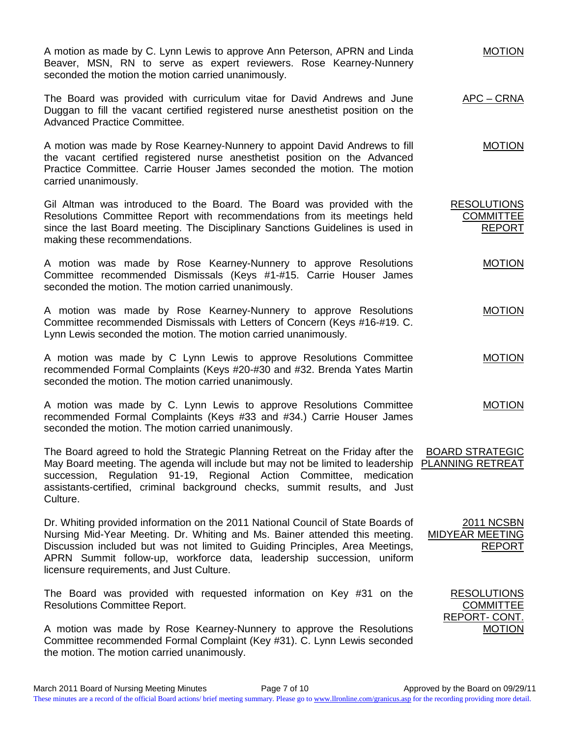A motion as made by C. Lynn Lewis to approve Ann Peterson, APRN and Linda Beaver, MSN, RN to serve as expert reviewers. Rose Kearney-Nunnery seconded the motion the motion carried unanimously.

The Board was provided with curriculum vitae for David Andrews and June Duggan to fill the vacant certified registered nurse anesthetist position on the Advanced Practice Committee. APC – CRNA

MOTION

MOTION

**COMMITTEE** REPORT

MOTION

MOTION

2011 NCSBN

RESOLUTIONS **COMMITTEE** REPORT- CONT.

REPORT

MOTION

A motion was made by Rose Kearney-Nunnery to appoint David Andrews to fill the vacant certified registered nurse anesthetist position on the Advanced Practice Committee. Carrie Houser James seconded the motion. The motion carried unanimously.

Gil Altman was introduced to the Board. The Board was provided with the Resolutions Committee Report with recommendations from its meetings held since the last Board meeting. The Disciplinary Sanctions Guidelines is used in making these recommendations. RESOLUTIONS

A motion was made by Rose Kearney-Nunnery to approve Resolutions Committee recommended Dismissals (Keys #1-#15. Carrie Houser James seconded the motion. The motion carried unanimously.

A motion was made by Rose Kearney-Nunnery to approve Resolutions Committee recommended Dismissals with Letters of Concern (Keys #16-#19. C. Lynn Lewis seconded the motion. The motion carried unanimously.

A motion was made by C Lynn Lewis to approve Resolutions Committee recommended Formal Complaints (Keys #20-#30 and #32. Brenda Yates Martin seconded the motion. The motion carried unanimously. MOTION

A motion was made by C. Lynn Lewis to approve Resolutions Committee recommended Formal Complaints (Keys #33 and #34.) Carrie Houser James seconded the motion. The motion carried unanimously. MOTION

The Board agreed to hold the Strategic Planning Retreat on the Friday after the May Board meeting. The agenda will include but may not be limited to leadership ELANNING RETREAT succession, Regulation 91-19, Regional Action Committee, medication assistants-certified, criminal background checks, summit results, and Just Culture. BOARD STRATEGIC

Dr. Whiting provided information on the 2011 National Council of State Boards of Nursing Mid-Year Meeting. Dr. Whiting and Ms. Bainer attended this meeting. Discussion included but was not limited to Guiding Principles, Area Meetings, APRN Summit follow-up, workforce data, leadership succession, uniform licensure requirements, and Just Culture. MIDYEAR MEETING

The Board was provided with requested information on Key #31 on the Resolutions Committee Report.

A motion was made by Rose Kearney-Nunnery to approve the Resolutions Committee recommended Formal Complaint (Key #31). C. Lynn Lewis seconded the motion. The motion carried unanimously.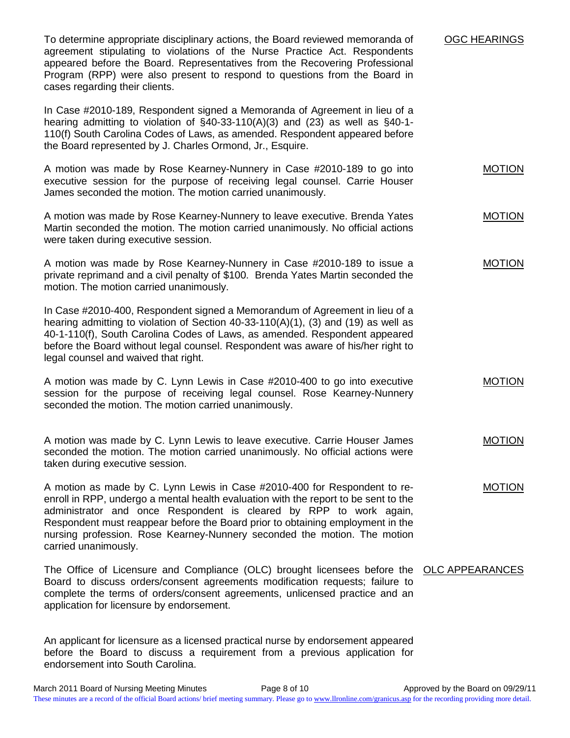To determine appropriate disciplinary actions, the Board reviewed memoranda of agreement stipulating to violations of the Nurse Practice Act. Respondents appeared before the Board. Representatives from the Recovering Professional Program (RPP) were also present to respond to questions from the Board in cases regarding their clients.

In Case #2010-189, Respondent signed a Memoranda of Agreement in lieu of a hearing admitting to violation of  $\S$ 40-33-110(A)(3) and (23) as well as  $\S$ 40-1-110(f) South Carolina Codes of Laws, as amended. Respondent appeared before the Board represented by J. Charles Ormond, Jr., Esquire.

A motion was made by Rose Kearney-Nunnery in Case #2010-189 to go into executive session for the purpose of receiving legal counsel. Carrie Houser James seconded the motion. The motion carried unanimously. MOTION

OGC HEARINGS

MOTION

A motion was made by Rose Kearney-Nunnery to leave executive. Brenda Yates Martin seconded the motion. The motion carried unanimously. No official actions were taken during executive session.

A motion was made by Rose Kearney-Nunnery in Case #2010-189 to issue a private reprimand and a civil penalty of \$100. Brenda Yates Martin seconded the motion. The motion carried unanimously. MOTION

In Case #2010-400, Respondent signed a Memorandum of Agreement in lieu of a hearing admitting to violation of Section 40-33-110(A)(1), (3) and (19) as well as 40-1-110(f), South Carolina Codes of Laws, as amended. Respondent appeared before the Board without legal counsel. Respondent was aware of his/her right to legal counsel and waived that right.

A motion was made by C. Lynn Lewis in Case #2010-400 to go into executive session for the purpose of receiving legal counsel. Rose Kearney-Nunnery seconded the motion. The motion carried unanimously. MOTION

A motion was made by C. Lynn Lewis to leave executive. Carrie Houser James seconded the motion. The motion carried unanimously. No official actions were taken during executive session. MOTION

A motion as made by C. Lynn Lewis in Case #2010-400 for Respondent to reenroll in RPP, undergo a mental health evaluation with the report to be sent to the administrator and once Respondent is cleared by RPP to work again, Respondent must reappear before the Board prior to obtaining employment in the nursing profession. Rose Kearney-Nunnery seconded the motion. The motion carried unanimously. MOTION

The Office of Licensure and Compliance (OLC) brought licensees before the OLC APPEARANCES Board to discuss orders/consent agreements modification requests; failure to complete the terms of orders/consent agreements, unlicensed practice and an application for licensure by endorsement.

An applicant for licensure as a licensed practical nurse by endorsement appeared before the Board to discuss a requirement from a previous application for endorsement into South Carolina.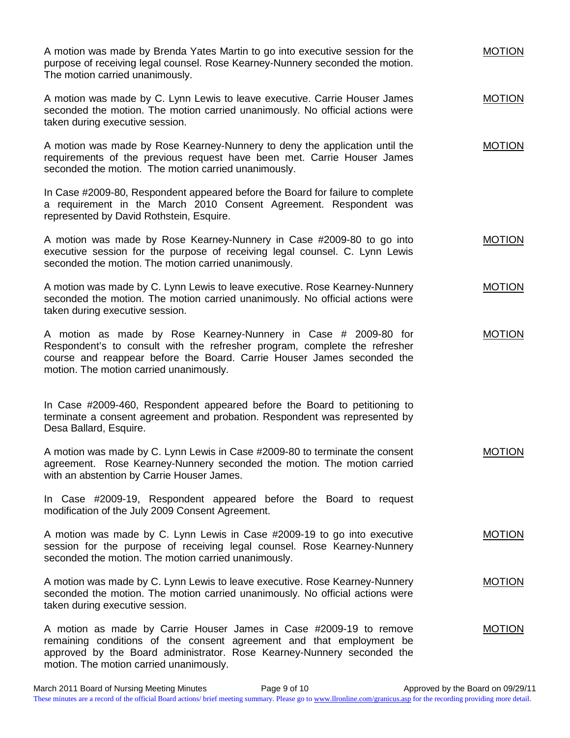A motion was made by Brenda Yates Martin to go into executive session for the purpose of receiving legal counsel. Rose Kearney-Nunnery seconded the motion. The motion carried unanimously. MOTION

A motion was made by C. Lynn Lewis to leave executive. Carrie Houser James seconded the motion. The motion carried unanimously. No official actions were taken during executive session. MOTION

MOTION

A motion was made by Rose Kearney-Nunnery to deny the application until the requirements of the previous request have been met. Carrie Houser James seconded the motion. The motion carried unanimously.

In Case #2009-80, Respondent appeared before the Board for failure to complete a requirement in the March 2010 Consent Agreement. Respondent was represented by David Rothstein, Esquire.

A motion was made by Rose Kearney-Nunnery in Case #2009-80 to go into executive session for the purpose of receiving legal counsel. C. Lynn Lewis seconded the motion. The motion carried unanimously. MOTION

A motion was made by C. Lynn Lewis to leave executive. Rose Kearney-Nunnery seconded the motion. The motion carried unanimously. No official actions were taken during executive session. MOTION

A motion as made by Rose Kearney-Nunnery in Case # 2009-80 for Respondent's to consult with the refresher program, complete the refresher course and reappear before the Board. Carrie Houser James seconded the motion. The motion carried unanimously. MOTION

In Case #2009-460, Respondent appeared before the Board to petitioning to terminate a consent agreement and probation. Respondent was represented by Desa Ballard, Esquire.

A motion was made by C. Lynn Lewis in Case #2009-80 to terminate the consent agreement. Rose Kearney-Nunnery seconded the motion. The motion carried with an abstention by Carrie Houser James. MOTION

In Case #2009-19, Respondent appeared before the Board to request modification of the July 2009 Consent Agreement.

A motion was made by C. Lynn Lewis in Case #2009-19 to go into executive session for the purpose of receiving legal counsel. Rose Kearney-Nunnery seconded the motion. The motion carried unanimously. MOTION

A motion was made by C. Lynn Lewis to leave executive. Rose Kearney-Nunnery seconded the motion. The motion carried unanimously. No official actions were taken during executive session. MOTION

A motion as made by Carrie Houser James in Case #2009-19 to remove remaining conditions of the consent agreement and that employment be approved by the Board administrator. Rose Kearney-Nunnery seconded the motion. The motion carried unanimously. MOTION